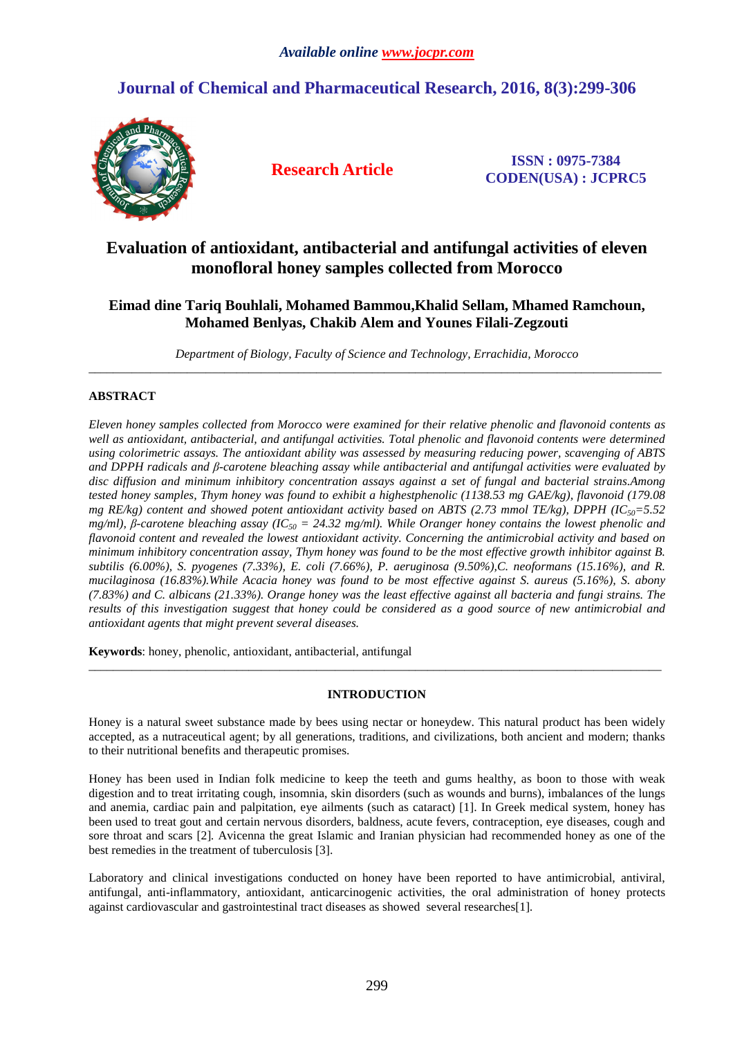# **Journal of Chemical and Pharmaceutical Research, 2016, 8(3):299-306**



**Research Article ISSN : 0975-7384 CODEN(USA) : JCPRC5**

## **Evaluation of antioxidant, antibacterial and antifungal activities of eleven monofloral honey samples collected from Morocco**

## **Eimad dine Tariq Bouhlali, Mohamed Bammou,Khalid Sellam, Mhamed Ramchoun, Mohamed Benlyas, Chakib Alem and Younes Filali-Zegzouti**

*Department of Biology, Faculty of Science and Technology, Errachidia, Morocco*  \_\_\_\_\_\_\_\_\_\_\_\_\_\_\_\_\_\_\_\_\_\_\_\_\_\_\_\_\_\_\_\_\_\_\_\_\_\_\_\_\_\_\_\_\_\_\_\_\_\_\_\_\_\_\_\_\_\_\_\_\_\_\_\_\_\_\_\_\_\_\_\_\_\_\_\_\_\_\_\_\_\_\_\_\_\_\_\_\_\_\_\_\_

## **ABSTRACT**

*Eleven honey samples collected from Morocco were examined for their relative phenolic and flavonoid contents as well as antioxidant, antibacterial, and antifungal activities. Total phenolic and flavonoid contents were determined using colorimetric assays. The antioxidant ability was assessed by measuring reducing power, scavenging of ABTS and DPPH radicals and β-carotene bleaching assay while antibacterial and antifungal activities were evaluated by disc diffusion and minimum inhibitory concentration assays against a set of fungal and bacterial strains.Among tested honey samples, Thym honey was found to exhibit a highestphenolic (1138.53 mg GAE/kg), flavonoid (179.08 mg RE/kg) content and showed potent antioxidant activity based on ABTS (2.73 mmol TE/kg), DPPH (IC<sub>50</sub>=5.52 and 150 mmol TE/kg), DPPH (IC<sub>50</sub><sup>-5.52</sup> mg/ml), β-carotene bleaching assay (IC50 = 24.32 mg/ml). While Oranger honey contains the lowest phenolic and flavonoid content and revealed the lowest antioxidant activity. Concerning the antimicrobial activity and based on minimum inhibitory concentration assay, Thym honey was found to be the most effective growth inhibitor against B. subtilis (6.00%), S. pyogenes (7.33%), E. coli (7.66%), P. aeruginosa (9.50%),C. neoformans (15.16%), and R. mucilaginosa (16.83%).While Acacia honey was found to be most effective against S. aureus (5.16%), S. abony (7.83%) and C. albicans (21.33%). Orange honey was the least effective against all bacteria and fungi strains. The results of this investigation suggest that honey could be considered as a good source of new antimicrobial and antioxidant agents that might prevent several diseases.* 

**Keywords**: honey, phenolic, antioxidant, antibacterial, antifungal

## **INTRODUCTION**

\_\_\_\_\_\_\_\_\_\_\_\_\_\_\_\_\_\_\_\_\_\_\_\_\_\_\_\_\_\_\_\_\_\_\_\_\_\_\_\_\_\_\_\_\_\_\_\_\_\_\_\_\_\_\_\_\_\_\_\_\_\_\_\_\_\_\_\_\_\_\_\_\_\_\_\_\_\_\_\_\_\_\_\_\_\_\_\_\_\_\_\_\_

Honey is a natural sweet substance made by bees using nectar or honeydew. This natural product has been widely accepted, as a nutraceutical agent; by all generations, traditions, and civilizations, both ancient and modern; thanks to their nutritional benefits and therapeutic promises.

Honey has been used in Indian folk medicine to keep the teeth and gums healthy, as boon to those with weak digestion and to treat irritating cough, insomnia, skin disorders (such as wounds and burns), imbalances of the lungs and anemia, cardiac pain and palpitation, eye ailments (such as cataract) [1]. In Greek medical system, honey has been used to treat gout and certain nervous disorders, baldness, acute fevers, contraception, eye diseases, cough and sore throat and scars [2]*.* Avicenna the great Islamic and Iranian physician had recommended honey as one of the best remedies in the treatment of tuberculosis [3].

Laboratory and clinical investigations conducted on honey have been reported to have antimicrobial, antiviral, antifungal, anti-inflammatory, antioxidant, anticarcinogenic activities, the oral administration of honey protects against cardiovascular and gastrointestinal tract diseases as showed several researches[1]*.*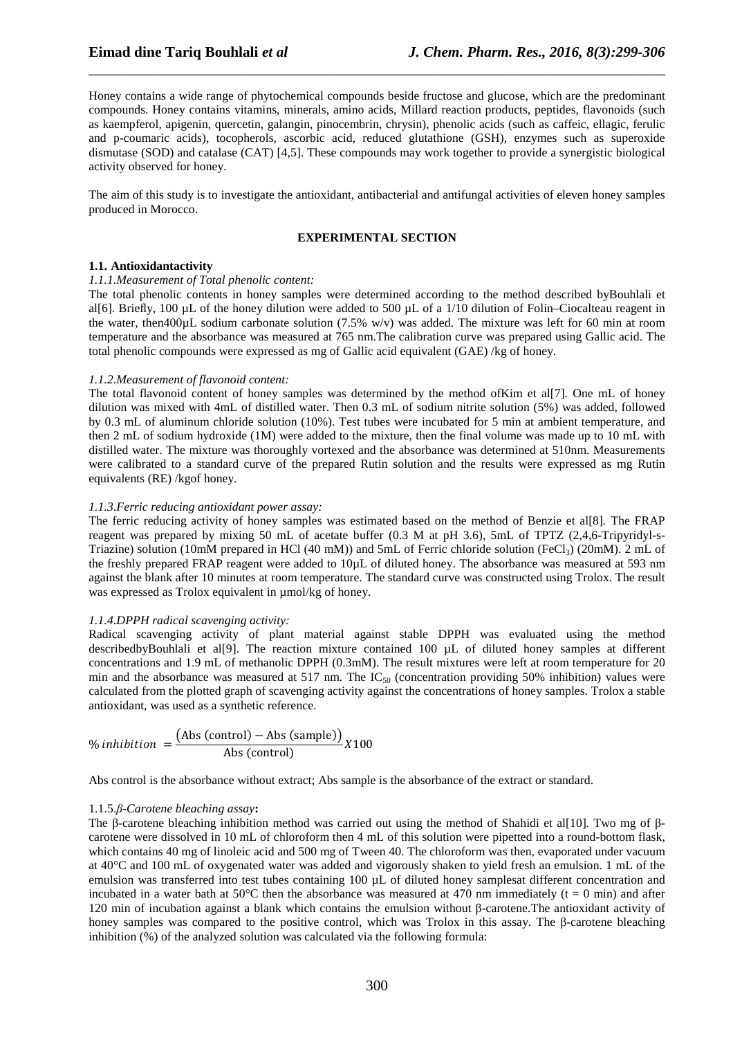Honey contains a wide range of phytochemical compounds beside fructose and glucose, which are the predominant compounds. Honey contains vitamins, minerals, amino acids, Millard reaction products, peptides, flavonoids (such as kaempferol, apigenin, quercetin, galangin, pinocembrin, chrysin), phenolic acids (such as caffeic, ellagic, ferulic and p-coumaric acids), tocopherols, ascorbic acid, reduced glutathione (GSH), enzymes such as superoxide dismutase (SOD) and catalase (CAT) [4,5]. These compounds may work together to provide a synergistic biological activity observed for honey.

\_\_\_\_\_\_\_\_\_\_\_\_\_\_\_\_\_\_\_\_\_\_\_\_\_\_\_\_\_\_\_\_\_\_\_\_\_\_\_\_\_\_\_\_\_\_\_\_\_\_\_\_\_\_\_\_\_\_\_\_\_\_\_\_\_\_\_\_\_\_\_\_\_\_\_\_\_\_

The aim of this study is to investigate the antioxidant, antibacterial and antifungal activities of eleven honey samples produced in Morocco.

#### **EXPERIMENTAL SECTION**

## **1.1. Antioxidantactivity**

## *1.1.1.Measurement of Total phenolic content:*

The total phenolic contents in honey samples were determined according to the method described byBouhlali et al[6]*.* Briefly, 100 µL of the honey dilution were added to 500 µL of a 1/10 dilution of Folin–Ciocalteau reagent in the water, then400 $\mu$ L sodium carbonate solution (7.5% w/v) was added. The mixture was left for 60 min at room temperature and the absorbance was measured at 765 nm.The calibration curve was prepared using Gallic acid. The total phenolic compounds were expressed as mg of Gallic acid equivalent (GAE) /kg of honey.

#### *1.1.2.Measurement of flavonoid content:*

The total flavonoid content of honey samples was determined by the method ofKim et al[7]*.* One mL of honey dilution was mixed with 4mL of distilled water. Then 0.3 mL of sodium nitrite solution (5%) was added, followed by 0.3 mL of aluminum chloride solution (10%). Test tubes were incubated for 5 min at ambient temperature, and then 2 mL of sodium hydroxide (1M) were added to the mixture, then the final volume was made up to 10 mL with distilled water. The mixture was thoroughly vortexed and the absorbance was determined at 510nm. Measurements were calibrated to a standard curve of the prepared Rutin solution and the results were expressed as mg Rutin equivalents (RE) /kgof honey.

## *1.1.3.Ferric reducing antioxidant power assay:*

The ferric reducing activity of honey samples was estimated based on the method of Benzie et al[8]*.* The FRAP reagent was prepared by mixing 50 mL of acetate buffer (0.3 M at pH 3.6), 5mL of TPTZ (2,4,6-Tripyridyl-s-Triazine) solution (10mM prepared in HCl (40 mM)) and 5mL of Ferric chloride solution (FeCl<sub>3</sub>) (20mM). 2 mL of the freshly prepared FRAP reagent were added to 10µL of diluted honey. The absorbance was measured at 593 nm against the blank after 10 minutes at room temperature. The standard curve was constructed using Trolox. The result was expressed as Trolox equivalent in  $\mu$ mol/kg of honey.

#### *1.1.4.DPPH radical scavenging activity:*

Radical scavenging activity of plant material against stable DPPH was evaluated using the method describedbyBouhlali et al[9]. The reaction mixture contained 100 µL of diluted honey samples at different concentrations and 1.9 mL of methanolic DPPH (0.3mM). The result mixtures were left at room temperature for 20 min and the absorbance was measured at 517 nm. The  $IC_{50}$  (concentration providing 50% inhibition) values were calculated from the plotted graph of scavenging activity against the concentrations of honey samples. Trolox a stable antioxidant, was used as a synthetic reference.

$$
\% inhibition = \frac{(Abs (control) - Abs (sample))}{Abs (control)}
$$
X100

Abs control is the absorbance without extract; Abs sample is the absorbance of the extract or standard.

#### 1.1.5.*β-Carotene bleaching assay***:**

The β-carotene bleaching inhibition method was carried out using the method of Shahidi et al[10]*.* Two mg of βcarotene were dissolved in 10 mL of chloroform then 4 mL of this solution were pipetted into a round-bottom flask, which contains 40 mg of linoleic acid and 500 mg of Tween 40. The chloroform was then, evaporated under vacuum at 40°C and 100 mL of oxygenated water was added and vigorously shaken to yield fresh an emulsion. 1 mL of the emulsion was transferred into test tubes containing 100 µL of diluted honey samplesat different concentration and incubated in a water bath at 50 $^{\circ}$ C then the absorbance was measured at 470 nm immediately (t = 0 min) and after 120 min of incubation against a blank which contains the emulsion without β-carotene.The antioxidant activity of honey samples was compared to the positive control, which was Trolox in this assay. The β-carotene bleaching inhibition (%) of the analyzed solution was calculated via the following formula: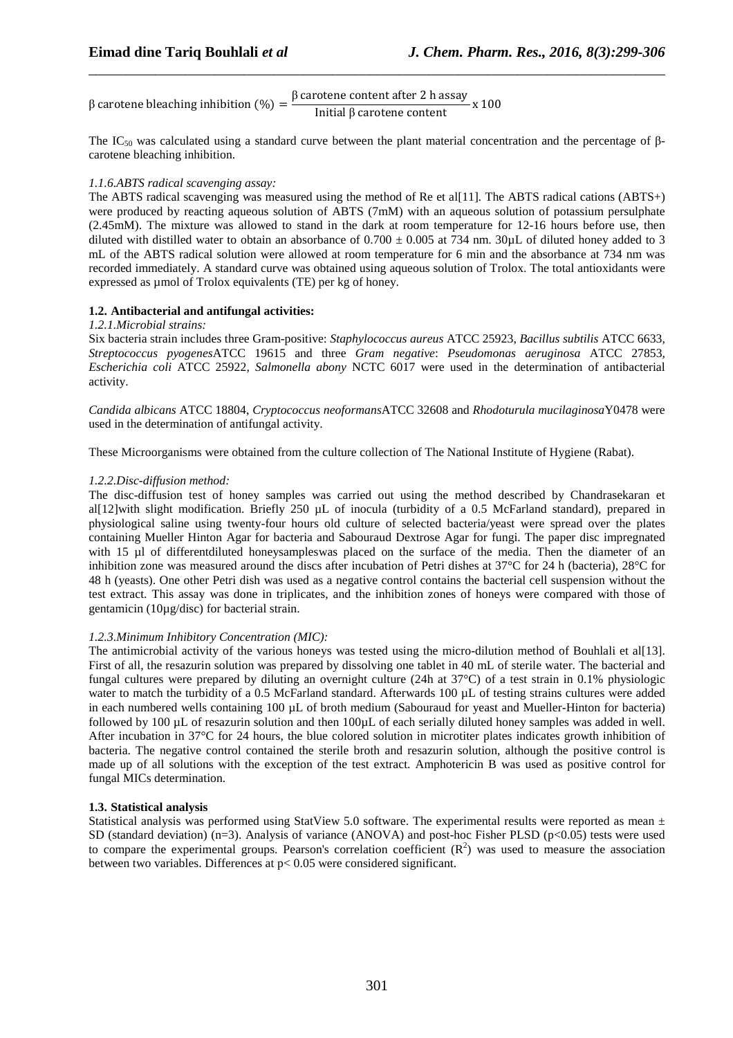β carotene bleaching inhibition  $(\%) = \frac{\beta \arctan \theta}{\sin \theta}$  carotene content after 2 h assay Initial β carotene content  $\frac{3}{x}$  x 100

The IC<sub>50</sub> was calculated using a standard curve between the plant material concentration and the percentage of βcarotene bleaching inhibition.

\_\_\_\_\_\_\_\_\_\_\_\_\_\_\_\_\_\_\_\_\_\_\_\_\_\_\_\_\_\_\_\_\_\_\_\_\_\_\_\_\_\_\_\_\_\_\_\_\_\_\_\_\_\_\_\_\_\_\_\_\_\_\_\_\_\_\_\_\_\_\_\_\_\_\_\_\_\_

## *1.1.6.ABTS radical scavenging assay:*

The ABTS radical scavenging was measured using the method of Re et al[11]*.* The ABTS radical cations (ABTS+) were produced by reacting aqueous solution of ABTS (7mM) with an aqueous solution of potassium persulphate (2.45mM). The mixture was allowed to stand in the dark at room temperature for 12-16 hours before use, then diluted with distilled water to obtain an absorbance of  $0.700 \pm 0.005$  at 734 nm. 30 $\mu$ L of diluted honey added to 3 mL of the ABTS radical solution were allowed at room temperature for 6 min and the absorbance at 734 nm was recorded immediately. A standard curve was obtained using aqueous solution of Trolox. The total antioxidants were expressed as µmol of Trolox equivalents (TE) per kg of honey.

## **1.2. Antibacterial and antifungal activities:**

## *1.2.1.Microbial strains:*

Six bacteria strain includes three Gram-positive: *Staphylococcus aureus* ATCC 25923, *Bacillus subtilis* ATCC 6633*, Streptococcus pyogenes*ATCC 19615 and three *Gram negative*: *Pseudomonas aeruginosa* ATCC 27853*, Escherichia coli* ATCC 25922*, Salmonella abony* NCTC 6017 were used in the determination of antibacterial activity.

*Candida albicans* ATCC 18804, *Cryptococcus neoformans*ATCC 32608 and *Rhodoturula mucilaginosa*Y0478 were used in the determination of antifungal activity.

These Microorganisms were obtained from the culture collection of The National Institute of Hygiene (Rabat).

## *1.2.2.Disc-diffusion method:*

The disc-diffusion test of honey samples was carried out using the method described by Chandrasekaran et all [12] with slight modification. Briefly 250 uL of inocula (turbidity of a 0.5 McFarland standard), prepared in physiological saline using twenty-four hours old culture of selected bacteria/yeast were spread over the plates containing Mueller Hinton Agar for bacteria and Sabouraud Dextrose Agar for fungi. The paper disc impregnated with 15 µl of differentdiluted honeysampleswas placed on the surface of the media. Then the diameter of an inhibition zone was measured around the discs after incubation of Petri dishes at 37°C for 24 h (bacteria), 28°C for 48 h (yeasts). One other Petri dish was used as a negative control contains the bacterial cell suspension without the test extract. This assay was done in triplicates, and the inhibition zones of honeys were compared with those of gentamicin (10µg/disc) for bacterial strain.

## *1.2.3.Minimum Inhibitory Concentration (MIC):*

The antimicrobial activity of the various honeys was tested using the micro-dilution method of Bouhlali et al[13]. First of all, the resazurin solution was prepared by dissolving one tablet in 40 mL of sterile water. The bacterial and fungal cultures were prepared by diluting an overnight culture (24h at 37°C) of a test strain in 0.1% physiologic water to match the turbidity of a 0.5 McFarland standard. Afterwards 100 µL of testing strains cultures were added in each numbered wells containing 100 µL of broth medium (Sabouraud for yeast and Mueller-Hinton for bacteria) followed by 100 µL of resazurin solution and then 100µL of each serially diluted honey samples was added in well. After incubation in 37°C for 24 hours, the blue colored solution in microtiter plates indicates growth inhibition of bacteria. The negative control contained the sterile broth and resazurin solution, although the positive control is made up of all solutions with the exception of the test extract. Amphotericin B was used as positive control for fungal MICs determination.

## **1.3. Statistical analysis**

Statistical analysis was performed using StatView 5.0 software. The experimental results were reported as mean  $\pm$ SD (standard deviation)  $(n=3)$ . Analysis of variance (ANOVA) and post-hoc Fisher PLSD (p<0.05) tests were used to compare the experimental groups. Pearson's correlation coefficient  $(R^2)$  was used to measure the association between two variables. Differences at p< 0.05 were considered significant.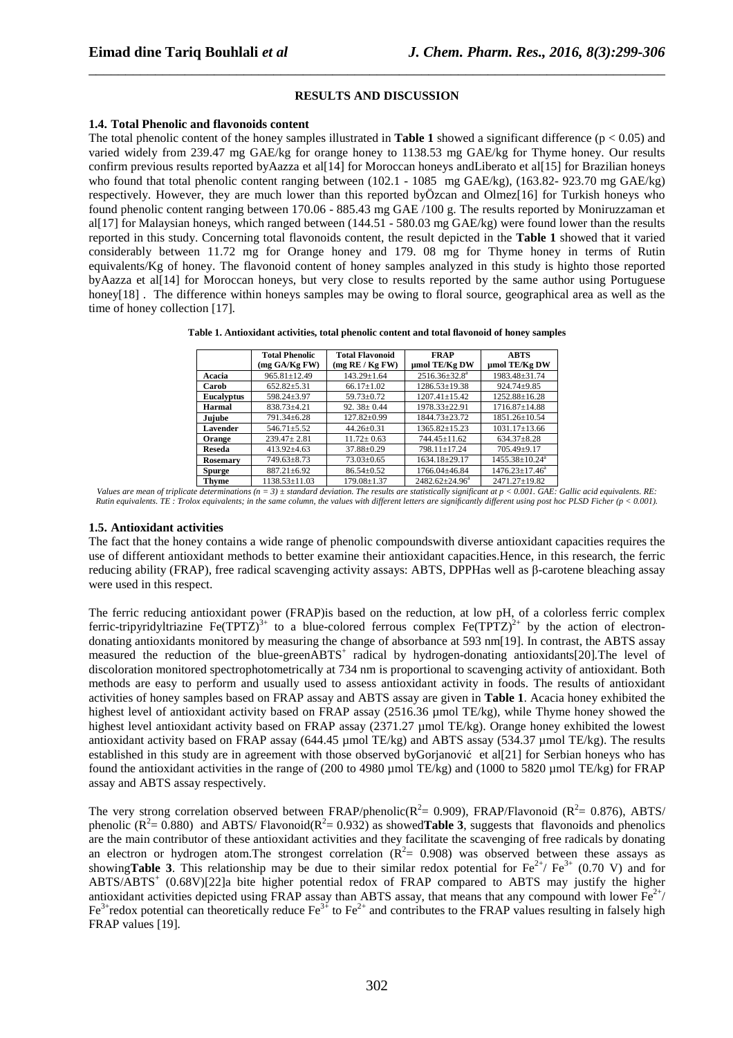#### **RESULTS AND DISCUSSION**

\_\_\_\_\_\_\_\_\_\_\_\_\_\_\_\_\_\_\_\_\_\_\_\_\_\_\_\_\_\_\_\_\_\_\_\_\_\_\_\_\_\_\_\_\_\_\_\_\_\_\_\_\_\_\_\_\_\_\_\_\_\_\_\_\_\_\_\_\_\_\_\_\_\_\_\_\_\_

#### **1.4. Total Phenolic and flavonoids content**

The total phenolic content of the honey samples illustrated in **Table 1** showed a significant difference ( $p < 0.05$ ) and varied widely from 239.47 mg GAE/kg for orange honey to 1138.53 mg GAE/kg for Thyme honey. Our results confirm previous results reported byAazza et al[14] for Moroccan honeys andLiberato et al[15] for Brazilian honeys who found that total phenolic content ranging between (102.1 - 1085 mg GAE/kg), (163.82- 923.70 mg GAE/kg) respectively. However, they are much lower than this reported byÖzcan and Olmez[16] for Turkish honeys who found phenolic content ranging between 170.06 - 885.43 mg GAE /100 g. The results reported by Moniruzzaman et al[17] for Malaysian honeys, which ranged between (144.51 - 580.03 mg GAE/kg) were found lower than the results reported in this study. Concerning total flavonoids content, the result depicted in the **Table 1** showed that it varied considerably between 11.72 mg for Orange honey and 179. 08 mg for Thyme honey in terms of Rutin equivalents/Kg of honey. The flavonoid content of honey samples analyzed in this study is highto those reported byAazza et al[14] for Moroccan honeys, but very close to results reported by the same author using Portuguese honey<sup>[18]</sup>. The difference within honeys samples may be owing to floral source, geographical area as well as the time of honey collection [17]*.* 

| Table 1. Antioxidant activities, total phenolic content and total flavonoid of honey samples |  |  |  |  |
|----------------------------------------------------------------------------------------------|--|--|--|--|
|                                                                                              |  |  |  |  |

|                   | <b>Total Phenolic</b><br>(mg GA/Kg FW) | <b>Total Flavonoid</b><br>(mg RE / Kg FW) | <b>FRAP</b><br>umol TE/Kg DW | <b>ABTS</b><br>umol TE/Kg DW     |
|-------------------|----------------------------------------|-------------------------------------------|------------------------------|----------------------------------|
| Acacia            | $965.81 \pm 12.49$                     | $143.29 \pm 1.64$                         | $2516.36\pm32.8^a$           | 1983.48±31.74                    |
| Carob             | $652.82 + 5.31$                        | $66.17+1.02$                              | 1286.53+19.38                | $924.74 + 9.85$                  |
| <b>Eucalyptus</b> | 598.24±3.97                            | $59.73 \pm 0.72$                          | $1207.41 + 15.42$            | $1252.88 \pm 16.28$              |
| Harmal            | 838.73±4.21                            | 92. $38 \pm 0.44$                         | 1978.33±22.91                | $1716.87 \pm 14.88$              |
| Jujube            | 791.34±6.28                            | $127.82 \pm 0.99$                         | 1844.73±23.72                | $1851.26 \pm 10.54$              |
| Lavender          | $546.71 \pm 5.52$                      | $44.26 \pm 0.31$                          | $1365.82 + 15.23$            | $1031.17 \pm 13.66$              |
| <b>Orange</b>     | $239.47 + 2.81$                        | $11.72 + 0.63$                            | $744.45 + 11.62$             | $634.37 \pm 8.28$                |
| Reseda            | $413.92 + 4.63$                        | $37.88 \pm 0.29$                          | 798.11±17.24                 | 705.49±9.17                      |
| Rosemary          | $749.63 \pm 8.73$                      | $73.03 \pm 0.65$                          | $1634.18 \pm 29.17$          | $1455.38 \pm 10.24$ <sup>a</sup> |
| <b>Spurge</b>     | $887.21 \pm 6.92$                      | $86.54 \pm 0.52$                          | 1766.04±46.84                | $1476.23 \pm 17.46^a$            |
| Thyme             | 1138.53+11.03                          | $179.08 + 1.37$                           | $2482.62 + 24.96^a$          | 2471.27+19.82                    |

*Values are mean of triplicate determinations (n = 3) ± standard deviation. The results are statistically significant at p < 0.001. GAE: Gallic acid equivalents. RE: Rutin equivalents. TE : Trolox equivalents; in the same column, the values with different letters are significantly different using post hoc PLSD Ficher (p < 0.001).* 

## **1.5. Antioxidant activities**

The fact that the honey contains a wide range of phenolic compoundswith diverse antioxidant capacities requires the use of different antioxidant methods to better examine their antioxidant capacities.Hence, in this research, the ferric reducing ability (FRAP), free radical scavenging activity assays: ABTS, DPPHas well as β-carotene bleaching assay were used in this respect.

The ferric reducing antioxidant power (FRAP)is based on the reduction, at low pH, of a colorless ferric complex ferric-tripyridyltriazine Fe(TPTZ)<sup>3+</sup> to a blue-colored ferrous complex Fe(TPTZ)<sup>2+</sup> by the action of electrondonating antioxidants monitored by measuring the change of absorbance at 593 nm[19]. In contrast, the ABTS assay measured the reduction of the blue-greenABTS<sup>+</sup> radical by hydrogen-donating antioxidants[20]. The level of discoloration monitored spectrophotometrically at 734 nm is proportional to scavenging activity of antioxidant. Both methods are easy to perform and usually used to assess antioxidant activity in foods. The results of antioxidant activities of honey samples based on FRAP assay and ABTS assay are given in **Table 1**. Acacia honey exhibited the highest level of antioxidant activity based on FRAP assay (2516.36 µmol TE/kg), while Thyme honey showed the highest level antioxidant activity based on FRAP assay (2371.27 µmol TE/kg). Orange honey exhibited the lowest antioxidant activity based on FRAP assay (644.45 µmol TE/kg) and ABTS assay (534.37 µmol TE/kg). The results established in this study are in agreement with those observed byGorjanović et al[21] for Serbian honeys who has found the antioxidant activities in the range of (200 to 4980 µmol TE/kg) and (1000 to 5820 µmol TE/kg) for FRAP assay and ABTS assay respectively.

The very strong correlation observed between FRAP/phenolic( $R^2$  = 0.909), FRAP/Flavonoid ( $R^2$  = 0.876), ABTS/ phenolic  $(R^2 = 0.880)$  and ABTS/Flavonoid( $R^2 = 0.932$ ) as showed**Table 3**, suggests that flavonoids and phenolics are the main contributor of these antioxidant activities and they facilitate the scavenging of free radicals by donating an electron or hydrogen atom. The strongest correlation  $(R^2 = 0.908)$  was observed between these assays as showing**Table 3**. This relationship may be due to their similar redox potential for  $Fe^{2+}/Fe^{3+}$  (0.70 V) and for ABTS/ABTS<sup>+</sup> (0.68V)[22]a bite higher potential redox of FRAP compared to ABTS may justify the higher antioxidant activities depicted using FRAP assay than ABTS assay, that means that any compound with lower  $Fe^{2+}/$  $Fe<sup>3+</sup>$ redox potential can theoretically reduce Fe<sup>3+</sup> to Fe<sup>2+</sup> and contributes to the FRAP values resulting in falsely high FRAP values [19]*.*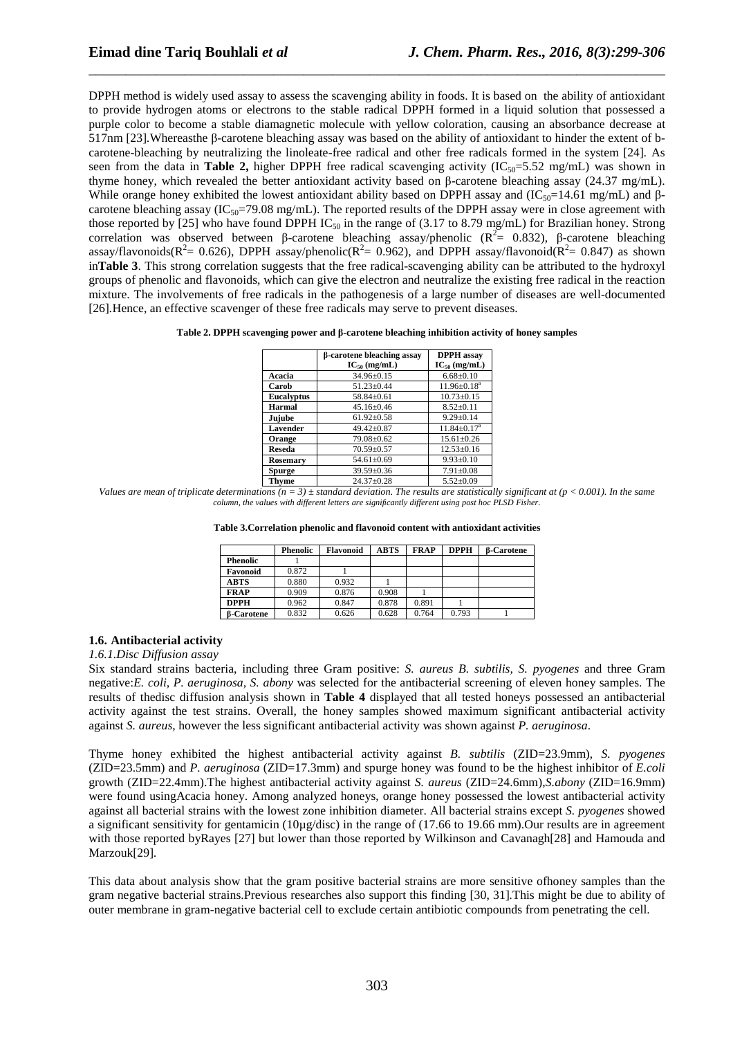DPPH method is widely used assay to assess the scavenging ability in foods. It is based on the ability of antioxidant to provide hydrogen atoms or electrons to the stable radical DPPH formed in a liquid solution that possessed a purple color to become a stable diamagnetic molecule with yellow coloration, causing an absorbance decrease at 517nm [23]*.*Whereasthe β-carotene bleaching assay was based on the ability of antioxidant to hinder the extent of bcarotene-bleaching by neutralizing the linoleate-free radical and other free radicals formed in the system [24]*.* As seen from the data in **Table 2,** higher DPPH free radical scavenging activity  $(IC_{50}=5.52 \text{ mg/mL})$  was shown in thyme honey, which revealed the better antioxidant activity based on β-carotene bleaching assay (24.37 mg/mL). While orange honey exhibited the lowest antioxidant ability based on DPPH assay and  $(IC_{50}=14.61 \text{ mg/mL})$  and  $\beta$ carotene bleaching assay ( $IC_{50}=79.08$  mg/mL). The reported results of the DPPH assay were in close agreement with those reported by [25] who have found DPPH IC<sub>50</sub> in the range of (3.17 to 8.79 mg/mL) for Brazilian honey. Strong correlation was observed between β-carotene bleaching assay/phenolic ( $\mathbb{R}^2$  = 0.832), β-carotene bleaching assay/flavonoids( $R^2$  = 0.626), DPPH assay/phenolic( $R^2$  = 0.962), and DPPH assay/flavonoid( $R^2$  = 0.847) as shown in**Table 3**. This strong correlation suggests that the free radical-scavenging ability can be attributed to the hydroxyl groups of phenolic and flavonoids, which can give the electron and neutralize the existing free radical in the reaction mixture. The involvements of free radicals in the pathogenesis of a large number of diseases are well-documented [26]*.*Hence, an effective scavenger of these free radicals may serve to prevent diseases.

\_\_\_\_\_\_\_\_\_\_\_\_\_\_\_\_\_\_\_\_\_\_\_\_\_\_\_\_\_\_\_\_\_\_\_\_\_\_\_\_\_\_\_\_\_\_\_\_\_\_\_\_\_\_\_\_\_\_\_\_\_\_\_\_\_\_\_\_\_\_\_\_\_\_\_\_\_\_

#### **Table 2. DPPH scavenging power and β-carotene bleaching inhibition activity of honey samples**

|                   | <b>B-carotene bleaching assay</b><br>$IC_{50}$ (mg/mL) | <b>DPPH</b> assay<br>$IC_{50}$ (mg/mL) |
|-------------------|--------------------------------------------------------|----------------------------------------|
|                   |                                                        |                                        |
| Acacia            | $34.96 \pm 0.15$                                       | $6.68 \pm 0.10$                        |
| Carob             | $51.23 \pm 0.44$                                       | $11.96 \pm 0.18^a$                     |
| <b>Eucalyptus</b> | $58.84 + 0.61$                                         | $10.73 \pm 0.15$                       |
| Harmal            | $45.16 \pm 0.46$                                       | $8.52 \pm 0.11$                        |
| Jujube            | $61.92 \pm 0.58$                                       | $9.29 \pm 0.14$                        |
| Lavender          | $49.42 + 0.87$                                         | $11.84 + 0.17a$                        |
| Orange            | 79.08±0.62                                             | $15.61 \pm 0.26$                       |
| <b>Reseda</b>     | $70.59 \pm 0.57$                                       | $12.53 \pm 0.16$                       |
| <b>Rosemary</b>   | $54.61 \pm 0.69$                                       | $9.93 \pm 0.10$                        |
| <b>Spurge</b>     | $39.59 + 0.36$                                         | $7.91 \pm 0.08$                        |
| Thyme             | $24.37+0.28$                                           | $5.52+0.09$                            |

*Values are mean of triplicate determinations*  $(n = 3)$   $\pm$  standard deviation. The results are statistically significant at ( $p < 0.001$ ). In the same *column, the values with different letters are significantly different using post hoc PLSD Fisher.* 

|  | Table 3. Correlation phenolic and flavonoid content with antioxidant activities |
|--|---------------------------------------------------------------------------------|
|--|---------------------------------------------------------------------------------|

|                   | Phenolic | <b>Flavonoid</b> | <b>ABTS</b> | <b>FRAP</b> | <b>DPPH</b> | <b>B-Carotene</b> |
|-------------------|----------|------------------|-------------|-------------|-------------|-------------------|
| <b>Phenolic</b>   |          |                  |             |             |             |                   |
| Favonoid          | 0.872    |                  |             |             |             |                   |
| ABTS              | 0.880    | 0.932            |             |             |             |                   |
| <b>FRAP</b>       | 0.909    | 0.876            | 0.908       |             |             |                   |
| <b>DPPH</b>       | 0.962    | 0.847            | 0.878       | 0.891       |             |                   |
| <b>B-Carotene</b> | 0.832    | 0.626            | 0.628       | 0.764       | 0.793       |                   |

## **1.6. Antibacterial activity**

#### *1.6.1.Disc Diffusion assay*

Six standard strains bacteria, including three Gram positive: *S. aureus B. subtilis, S. pyogenes* and three Gram negative:*E. coli, P. aeruginosa, S. abony* was selected for the antibacterial screening of eleven honey samples. The results of thedisc diffusion analysis shown in **Table 4** displayed that all tested honeys possessed an antibacterial activity against the test strains. Overall, the honey samples showed maximum significant antibacterial activity against *S. aureus*, however the less significant antibacterial activity was shown against *P. aeruginosa*.

Thyme honey exhibited the highest antibacterial activity against *B. subtilis* (ZID=23.9mm), *S. pyogenes* (ZID=23.5mm) and *P. aeruginosa* (ZID=17.3mm) and spurge honey was found to be the highest inhibitor of *E.coli* growth (ZID=22.4mm).The highest antibacterial activity against *S. aureus* (ZID=24.6mm),*S.abony* (ZID=16.9mm) were found usingAcacia honey. Among analyzed honeys, orange honey possessed the lowest antibacterial activity against all bacterial strains with the lowest zone inhibition diameter. All bacterial strains except *S. pyogenes* showed a significant sensitivity for gentamicin (10 $\mu$ g/disc) in the range of (17.66 to 19.66 mm). Our results are in agreement with those reported byRayes [27] but lower than those reported by Wilkinson and Cavanagh[28] and Hamouda and Marzouk[29]*.* 

This data about analysis show that the gram positive bacterial strains are more sensitive ofhoney samples than the gram negative bacterial strains.Previous researches also support this finding [30, 31]*.*This might be due to ability of outer membrane in gram-negative bacterial cell to exclude certain antibiotic compounds from penetrating the cell.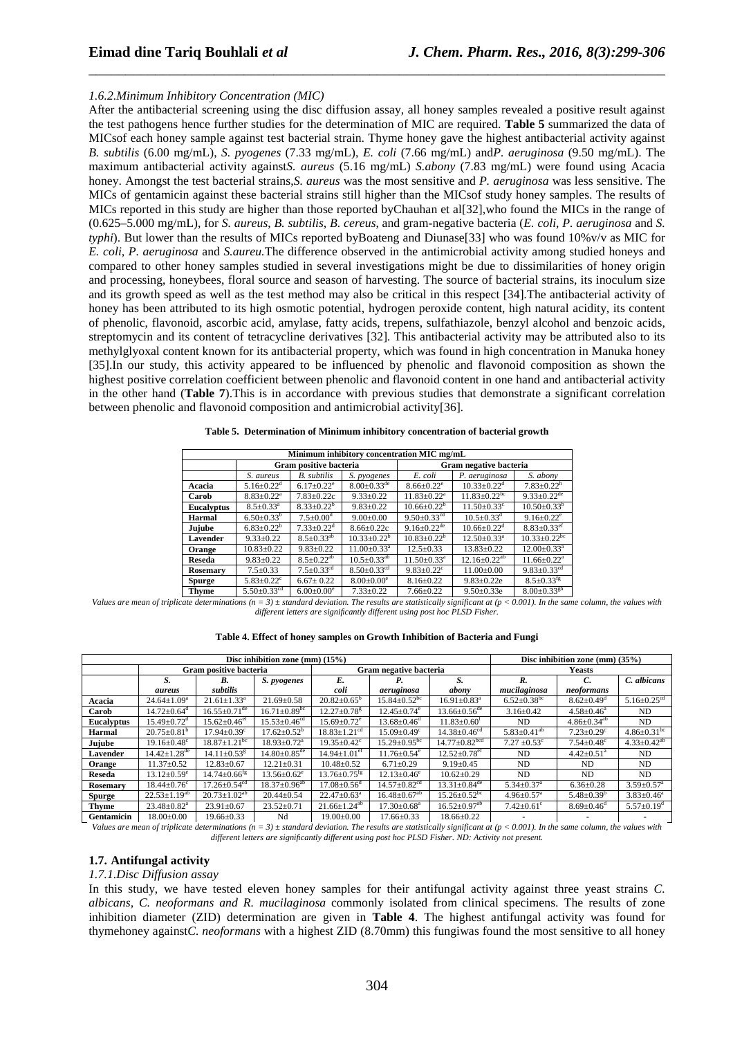## *1.6.2.Minimum Inhibitory Concentration (MIC)*

After the antibacterial screening using the disc diffusion assay, all honey samples revealed a positive result against the test pathogens hence further studies for the determination of MIC are required. **Table 5** summarized the data of MICsof each honey sample against test bacterial strain. Thyme honey gave the highest antibacterial activity against *B. subtilis* (6.00 mg/mL), *S. pyogenes* (7.33 mg/mL), *E. coli* (7.66 mg/mL) and*P. aeruginosa* (9.50 mg/mL). The maximum antibacterial activity against*S. aureus* (5.16 mg/mL) *S.abony* (7.83 mg/mL) were found using Acacia honey. Amongst the test bacterial strains,*S. aureus* was the most sensitive and *P. aeruginosa* was less sensitive. The MICs of gentamicin against these bacterial strains still higher than the MICsof study honey samples. The results of MICs reported in this study are higher than those reported byChauhan et al[32]*,*who found the MICs in the range of (0.625–5.000 mg/mL), for *S. aureus*, *B. subtilis*, *B. cereus*, and gram-negative bacteria (*E. coli*, *P. aeruginosa* and *S. typhi*). But lower than the results of MICs reported byBoateng and Diunase<sup>[33]</sup> who was found 10%v/v as MIC for *E. coli, P. aeruginosa* and *S.aureu.*The difference observed in the antimicrobial activity among studied honeys and compared to other honey samples studied in several investigations might be due to dissimilarities of honey origin and processing, honeybees, floral source and season of harvesting. The source of bacterial strains, its inoculum size and its growth speed as well as the test method may also be critical in this respect [34]*.*The antibacterial activity of honey has been attributed to its high osmotic potential, hydrogen peroxide content, high natural acidity, its content of phenolic, flavonoid, ascorbic acid, amylase, fatty acids, trepens, sulfathiazole, benzyl alcohol and benzoic acids, streptomycin and its content of tetracycline derivatives [32]*.* This antibacterial activity may be attributed also to its methylglyoxal content known for its antibacterial property, which was found in high concentration in Manuka honey [35].In our study, this activity appeared to be influenced by phenolic and flavonoid composition as shown the highest positive correlation coefficient between phenolic and flavonoid content in one hand and antibacterial activity in the other hand (**Table 7**).This is in accordance with previous studies that demonstrate a significant correlation between phenolic and flavonoid composition and antimicrobial activity[36]*.* 

\_\_\_\_\_\_\_\_\_\_\_\_\_\_\_\_\_\_\_\_\_\_\_\_\_\_\_\_\_\_\_\_\_\_\_\_\_\_\_\_\_\_\_\_\_\_\_\_\_\_\_\_\_\_\_\_\_\_\_\_\_\_\_\_\_\_\_\_\_\_\_\_\_\_\_\_\_\_

| Minimum inhibitory concentration MIC mg/mL |                              |                              |                               |                               |                                |                                |  |  |  |
|--------------------------------------------|------------------------------|------------------------------|-------------------------------|-------------------------------|--------------------------------|--------------------------------|--|--|--|
|                                            |                              | Gram positive bacteria       |                               | Gram negative bacteria        |                                |                                |  |  |  |
|                                            | S. aureus                    | <b>B.</b> subtilis           | S. pyogenes                   | E. coli                       | P. aeruginosa                  | S. abony                       |  |  |  |
| Acacia                                     | $5.16 \pm 0.22$ <sup>d</sup> | $6.17 \pm 0.22$ <sup>e</sup> | $8.00 \pm 0.33$ <sup>de</sup> | $8.66 \pm 0.22$ <sup>e</sup>  | $10.33 \pm 0.22$ <sup>d</sup>  | $7.83 \pm 0.22^h$              |  |  |  |
| Carob                                      | $8.83 + 0.22^a$              | $7.83 + 0.22c$               | $9.33 \pm 0.22$               | $11.83 + 0.22^a$              | $11.83 + 0.22$ <sup>bc</sup>   | $9.33+0.22$ <sup>de</sup>      |  |  |  |
| <b>Eucalyptus</b>                          | $8.5 \pm 0.33$ <sup>a</sup>  | $8.33 + 0.22^b$              | $9.83 \pm 0.22$               | $10.66 \pm 0.22^{\rm b}$      | $11.50 + 0.33^c$               | $10.50 \pm 0.33^b$             |  |  |  |
| <b>Harmal</b>                              | $6.50 \pm 0.33^b$            | $7.5 \pm 0.00$ <sup>d</sup>  | $9.00 \pm 0.00$               | $9.50 + 0.33$ <sup>cd</sup>   | $10.5 \pm 0.33$ <sup>d</sup>   | $9.16 + 0.22^e$                |  |  |  |
| Jujube                                     | $6.83 \pm 0.22$ <sup>b</sup> | $7.33 \pm 0.22$ <sup>d</sup> | $8.66 + 0.22c$                | $9.16 \pm 0.22$ <sup>de</sup> | $10.66 \pm 0.22$ <sup>d</sup>  | $8.83 \pm 0.33$ <sup>ef</sup>  |  |  |  |
| Lavender                                   | $9.33+0.22$                  | $8.5 + 0.33^{ab}$            | $10.33 + 0.22^b$              | $10.83 + 0.22^b$              | $12.50 + 0.33$ <sup>a</sup>    | $10.33 \pm 0.22$ <sup>bc</sup> |  |  |  |
| Orange                                     | $10.83 \pm 0.22$             | $9.83 + 0.22$                | $11.00 + 0.33a$               | $12.5 + 0.33$                 | $13.83 + 0.22$                 | $12.00 \pm 0.33$ <sup>a</sup>  |  |  |  |
| <b>Reseda</b>                              | $9.83 + 0.22$                | $8.5 + 0.22^{ab}$            | $10.5 \pm 0.33$ <sup>ab</sup> | $11.50 + 0.33$ <sup>a</sup>   | $12.16 \pm 0.22$ <sup>ab</sup> | $11.66 + 0.22a$                |  |  |  |
| Rosemary                                   | $7.5 \pm 0.33$               | $7.5 + 0.33$ <sup>cd</sup>   | $8.50 \pm 0.33$ <sup>cd</sup> | $9.83 + 0.22$ <sup>c</sup>    | $11.00+0.00$                   | 9.83 $\pm$ 0.33 <sup>cd</sup>  |  |  |  |
| <b>Spurge</b>                              | $5.83 + 0.22$ <sup>c</sup>   | $6.67 + 0.22$                | $8.00+0.00^e$                 | $8.16 + 0.22$                 | $9.83 + 0.22e$                 | $8.5 \pm 0.33$ <sup>fg</sup>   |  |  |  |

**Table 5. Determination of Minimum inhibitory concentration of bacterial growth** 

**Thyme** 5.50±0.33cd 6.00±0.00<sup>e</sup> 7.33±0.22 7.66±0.22 9.50±0.33e 8.00±0.33gh *Values are mean of triplicate determinations*  $(n = 3) \pm$  standard deviation. The results are statistically significant at  $(p < 0.001)$ . In the same column, the values with *different letters are significantly different using post hoc PLSD Fisher.* 

|               | Disc inhibition zone (mm) $(15%)$ |                                |                                |                                |                                |                                 |                               | Disc inhibition zone (mm) $(35%)$ |                               |  |
|---------------|-----------------------------------|--------------------------------|--------------------------------|--------------------------------|--------------------------------|---------------------------------|-------------------------------|-----------------------------------|-------------------------------|--|
|               |                                   | Gram positive bacteria         |                                |                                | Gram negative bacteria         |                                 |                               | <b>Yeasts</b>                     |                               |  |
|               | S.                                | B.                             | S. pyogenes                    | E.                             | Р.                             | S.                              | R.                            | C.                                | C. albicans                   |  |
|               | aureus                            | subtilis                       |                                | coli                           | aeruginosa                     | abony                           | mucilaginosa                  | neoformans                        |                               |  |
| Acacia        | $24.64 \pm 1.09^a$                | $21.61 \pm 1.33$ <sup>a</sup>  | $21.69 \pm 0.58$               | $20.82 \pm 0.65^b$             | $15.84 \pm 0.52$ <sup>bc</sup> | $16.91 \pm 0.83^a$              | $6.52 \pm 0.38$ <sup>bc</sup> | $8.62 \pm 0.49$ <sup>d</sup>      | $5.16 \pm 0.25$ <sup>cd</sup> |  |
| Carob         | $14.72 \pm 0.64$ <sup>d</sup>     | $16.55 \pm 0.71$ <sup>de</sup> | $16.71 \pm 0.89$ <sup>bc</sup> | $12.27 \pm 0.78$ <sup>g</sup>  | $12.45 \pm 0.74$ <sup>e</sup>  | $13.66 \pm 0.56$ <sup>de</sup>  | $3.16 \pm 0.42$               | $4.58 \pm 0.46^a$                 | ND                            |  |
| Eucalyptus    | $15.49 \pm 0.72$ <sup>d</sup>     | $15.62 \pm 0.46$ <sup>ef</sup> | $15.53 \pm 0.46$ <sup>cd</sup> | $15.69 \pm 0.72$ <sup>e</sup>  | $13.68 \pm 0.46$ <sup>d</sup>  | $11.83 \pm 0.60^t$              | ND                            | $4.86 \pm 0.34^{ab}$              | ND                            |  |
| Harmal        | $20.75 \pm 0.81^b$                | $17.94 \pm 0.39$ <sup>c</sup>  | $17.62 \pm 0.52^b$             | $18.83 \pm 1.21$ <sup>cd</sup> | $15.09 \pm 0.49$ <sup>c</sup>  | $14.38 \pm 0.46$ <sup>cd</sup>  | $5.83 \pm 0.41$ <sup>ab</sup> | $7.23 \pm 0.29$ <sup>c</sup>      | $4.86 \pm 0.31$ <sup>bc</sup> |  |
| Jujube        | $19.16 \pm 0.48$ <sup>c</sup>     | $18.87 \pm 1.21$ <sup>bc</sup> | $18.93 \pm 0.72$ <sup>a</sup>  | $19.35 \pm 0.42$ <sup>c</sup>  | $15.29 \pm 0.95$ <sup>bc</sup> | $14.77 \pm 0.82$ <sup>bcd</sup> | $7.27 \pm 0.53$ <sup>c</sup>  | $7.54 \pm 0.48$ <sup>c</sup>      | $4.33 \pm 0.42^{ab}$          |  |
| Lavender      | $14.42 \pm 1.28$ <sup>de</sup>    | $14.11 \pm 0.53$ <sup>g</sup>  | $14.80 \pm 0.85$ <sup>de</sup> | $14.94 \pm 1.01$ <sup>ef</sup> | $11.76 \pm 0.54$ <sup>e</sup>  | $12.52 \pm 0.78$ <sup>ef</sup>  | ND                            | $4.42 \pm 0.51$ <sup>a</sup>      | ND                            |  |
| Orange        | $11.37 \pm 0.52$                  | $12.83 \pm 0.67$               | $12.21 \pm 0.31$               | $10.48 \pm 0.52$               | $6.71 \pm 0.29$                | $9.19 \pm 0.45$                 | ND                            | ND                                | ND                            |  |
| <b>Reseda</b> | $13.12 \pm 0.59^e$                | $14.74 \pm 0.66$ <sup>fg</sup> | $13.56 \pm 0.62^e$             | $13.76 \pm 0.75$ <sup>fg</sup> | $12.13 \pm 0.46^e$             | $10.62 \pm 0.29$                | ND                            | ND                                | ND                            |  |
| Rosemary      | $18.44 \pm 0.76$ <sup>c</sup>     | $17.26 \pm 0.54$ <sup>cd</sup> | $18.37 \pm 0.96^{ab}$          | $17.08 \pm 0.56$ <sup>d</sup>  | $14.57 \pm 0.82$ <sup>cd</sup> | $13.31 \pm 0.84$ <sup>de</sup>  | $5.34 \pm 0.37$ <sup>a</sup>  | $6.36 \pm 0.28$                   | $3.59 \pm 0.57$ <sup>a</sup>  |  |
| <b>Spurge</b> | $22.53 \pm 1.19^{ab}$             | $20.73 \pm 1.02^{ab}$          | $20.44 \pm 0.54$               | $22.47 \pm 0.63^a$             | $16.48 \pm 0.67$ <sup>ab</sup> | $15.26 \pm 0.52$ <sup>bc</sup>  | $4.96 \pm 0.57$ <sup>a</sup>  | $5.48 \pm 0.39^b$                 | $3.83 \pm 0.46^a$             |  |
| <b>Thyme</b>  | $23.48 \pm 0.82$ <sup>a</sup>     | $23.91 \pm 0.67$               | $23.52 \pm 0.71$               | $21.66 \pm 1.24^{ab}$          | $17.30 \pm 0.68^a$             | $16.52 \pm 0.97$ <sup>ab</sup>  | $7.42 \pm 0.61$ <sup>c</sup>  | $8.69 \pm 0.46$ <sup>d</sup>      | $5.57 \pm 0.19^{\circ}$       |  |
| Gentamicin    | $18.00 \pm 0.00$                  | $19.66 \pm 0.33$               | Nd                             | $19.00 \pm 0.00$               | $17.66 \pm 0.33$               | $18.66 \pm 0.22$                |                               |                                   |                               |  |

*Values are mean of triplicate determinations (n = 3) ± standard deviation. The results are statistically significant at (p < 0.001). In the same column, the values with different letters are significantly different using post hoc PLSD Fisher. ND: Activity not present.* 

#### **1.7. Antifungal activity**

## *1.7.1.Disc Diffusion assay*

In this study, we have tested eleven honey samples for their antifungal activity against three yeast strains *C. albicans, C. neoformans and R. mucilaginosa* commonly isolated from clinical specimens. The results of zone inhibition diameter (ZID) determination are given in **Table 4**. The highest antifungal activity was found for thymehoney against*C. neoformans* with a highest ZID (8.70mm) this fungiwas found the most sensitive to all honey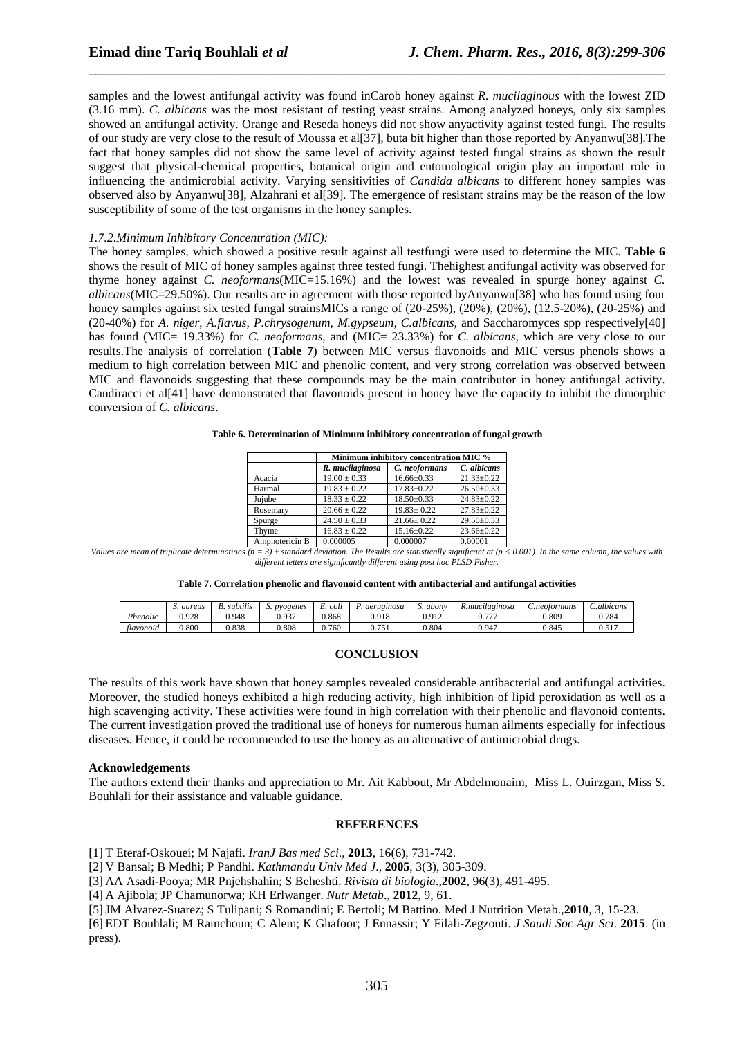samples and the lowest antifungal activity was found inCarob honey against *R. mucilaginous* with the lowest ZID (3.16 mm). *C. albicans* was the most resistant of testing yeast strains. Among analyzed honeys, only six samples showed an antifungal activity. Orange and Reseda honeys did not show anyactivity against tested fungi. The results of our study are very close to the result of Moussa et al[37]*,* buta bit higher than those reported by Anyanwu[38]*.*The fact that honey samples did not show the same level of activity against tested fungal strains as shown the result suggest that physical-chemical properties, botanical origin and entomological origin play an important role in influencing the antimicrobial activity. Varying sensitivities of *Candida albicans* to different honey samples was observed also by Anyanwu[38], Alzahrani et al[39]*.* The emergence of resistant strains may be the reason of the low susceptibility of some of the test organisms in the honey samples.

\_\_\_\_\_\_\_\_\_\_\_\_\_\_\_\_\_\_\_\_\_\_\_\_\_\_\_\_\_\_\_\_\_\_\_\_\_\_\_\_\_\_\_\_\_\_\_\_\_\_\_\_\_\_\_\_\_\_\_\_\_\_\_\_\_\_\_\_\_\_\_\_\_\_\_\_\_\_

#### *1.7.2.Minimum Inhibitory Concentration (MIC):*

The honey samples, which showed a positive result against all testfungi were used to determine the MIC. **Table 6** shows the result of MIC of honey samples against three tested fungi. Thehighest antifungal activity was observed for thyme honey against *C. neoformans*(MIC=15.16%) and the lowest was revealed in spurge honey against *C. albicans*(MIC=29.50%). Our results are in agreement with those reported byAnyanwu[38] who has found using four honey samples against six tested fungal strainsMICs a range of  $(20-25\%)$ ,  $(20\%)$ ,  $(20\%)$ ,  $(12.5-20\%)$ ,  $(20-25\%)$  and (20-40%) for *A. niger*, *A.flavus, P.chrysogenum, M.gypseum, C.albicans,* and Saccharomyces spp respectively[40] has found (MIC= 19.33%) for *C. neoformans*, and (MIC= 23.33%) for *C. albicans*, which are very close to our results.The analysis of correlation (**Table 7**) between MIC versus flavonoids and MIC versus phenols shows a medium to high correlation between MIC and phenolic content, and very strong correlation was observed between MIC and flavonoids suggesting that these compounds may be the main contributor in honey antifungal activity. Candiracci et al[41] have demonstrated that flavonoids present in honey have the capacity to inhibit the dimorphic conversion of *C. albicans*.

| Table 6. Determination of Minimum inhibitory concentration of fungal growth |  |
|-----------------------------------------------------------------------------|--|
|-----------------------------------------------------------------------------|--|

|                | Minimum inhibitory concentration MIC % |                  |                  |  |  |  |
|----------------|----------------------------------------|------------------|------------------|--|--|--|
|                | R. mucilaginosa                        | C. neoformans    | C. albicans      |  |  |  |
| Acacia         | $19.00 \pm 0.33$                       | $16.66 \pm 0.33$ | $21.33 \pm 0.22$ |  |  |  |
| Harmal         | $19.83 \pm 0.22$                       | $17.83 \pm 0.22$ | $26.50 \pm 0.33$ |  |  |  |
| Jujube         | $18.33 \pm 0.22$                       | $18.50 \pm 0.33$ | $24.83+0.22$     |  |  |  |
| Rosemary       | $20.66 \pm 0.22$                       | $19.83 \pm 0.22$ | $27.83 \pm 0.22$ |  |  |  |
| Spurge         | $24.50 \pm 0.33$                       | $21.66 \pm 0.22$ | $29.50 \pm 0.33$ |  |  |  |
| Thyme          | $16.83 \pm 0.22$                       | $15.16 \pm 0.22$ | $23.66 \pm 0.22$ |  |  |  |
| Amphotericin B | 0.000005                               | 0.000007         | 0.00001          |  |  |  |

*Values are mean of triplicate determinations (n = 3) ± standard deviation. The Results are statistically significant at (p < 0.001). In the same column, the values with different letters are significantly different using post hoc PLSD Fisher.* 

|  |  | Table 7. Correlation phenolic and flavonoid content with antibacterial and antifungal activities |
|--|--|--------------------------------------------------------------------------------------------------|
|--|--|--------------------------------------------------------------------------------------------------|

|                    | S. aureus | $\cdots$<br>subtilis | pyogenes<br>ມ. | <br>-<br>coli | aerugmosa              | <i>abon</i> | R.mucılagınosa | C.neotormans | C.albicans<br>$\overline{\phantom{a}}$                |
|--------------------|-----------|----------------------|----------------|---------------|------------------------|-------------|----------------|--------------|-------------------------------------------------------|
| $P$ <i>henolic</i> | 0.928     | 0.948                | 0.937          | 1.868         | 0.918                  | 0.912       | $- - -$<br>v., | 0.809        | J.784                                                 |
| tlavonoid          | 0.800     | 0.838                | 0.808          | 0.760         | .75<br>v. <i>i J</i> 1 | 0.804       | 0.947          | 0.845        | 517<br>$\mathsf{U} \cdot \mathsf{U} \cdot \mathsf{I}$ |

## **CONCLUSION**

The results of this work have shown that honey samples revealed considerable antibacterial and antifungal activities. Moreover, the studied honeys exhibited a high reducing activity, high inhibition of lipid peroxidation as well as a high scavenging activity. These activities were found in high correlation with their phenolic and flavonoid contents. The current investigation proved the traditional use of honeys for numerous human ailments especially for infectious diseases. Hence, it could be recommended to use the honey as an alternative of antimicrobial drugs.

#### **Acknowledgements**

The authors extend their thanks and appreciation to Mr. Ait Kabbout, Mr Abdelmonaim, Miss L. Ouirzgan, Miss S. Bouhlali for their assistance and valuable guidance.

#### **REFERENCES**

[1] T Eteraf-Oskouei; M Najafi. *IranJ Bas med Sci*., **2013**, 16(6), 731-742.

[2] V Bansal; B Medhi; P Pandhi. *Kathmandu Univ Med J*., **2005**, 3(3), 305-309.

[3] AA Asadi-Pooya; MR Pnjehshahin; S Beheshti. *Rivista di biologia*.,**2002**, 96(3), 491-495.

[4] A Ajibola; JP Chamunorwa; KH Erlwanger. *Nutr Metab*., **2012**, 9, 61.

[5]JM Alvarez-Suarez; S Tulipani; S Romandini; E Bertoli; M Battino. Med J Nutrition Metab.,**2010**, 3, 15-23.

[6] EDT Bouhlali; M Ramchoun; C Alem; K Ghafoor; J Ennassir; Y Filali-Zegzouti. *J Saudi Soc Agr Sci*. **2015**. (in press).